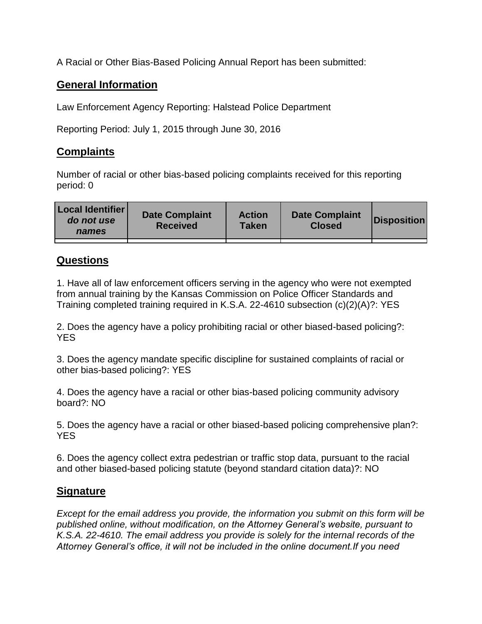A Racial or Other Bias-Based Policing Annual Report has been submitted:

## **General Information**

Law Enforcement Agency Reporting: Halstead Police Department

Reporting Period: July 1, 2015 through June 30, 2016

## **Complaints**

Number of racial or other bias-based policing complaints received for this reporting period: 0

| <b>Local Identifier</b><br>do not use<br>names | <b>Date Complaint</b><br><b>Received</b> | <b>Action</b><br><b>Taken</b> | <b>Date Complaint</b><br><b>Closed</b> | Disposition |
|------------------------------------------------|------------------------------------------|-------------------------------|----------------------------------------|-------------|
|                                                |                                          |                               |                                        |             |

## **Questions**

1. Have all of law enforcement officers serving in the agency who were not exempted from annual training by the Kansas Commission on Police Officer Standards and Training completed training required in K.S.A. 22-4610 subsection (c)(2)(A)?: YES

2. Does the agency have a policy prohibiting racial or other biased-based policing?: YES

3. Does the agency mandate specific discipline for sustained complaints of racial or other bias-based policing?: YES

4. Does the agency have a racial or other bias-based policing community advisory board?: NO

5. Does the agency have a racial or other biased-based policing comprehensive plan?: YES

6. Does the agency collect extra pedestrian or traffic stop data, pursuant to the racial and other biased-based policing statute (beyond standard citation data)?: NO

## **Signature**

*Except for the email address you provide, the information you submit on this form will be published online, without modification, on the Attorney General's website, pursuant to K.S.A. 22-4610. The email address you provide is solely for the internal records of the Attorney General's office, it will not be included in the online document.If you need*